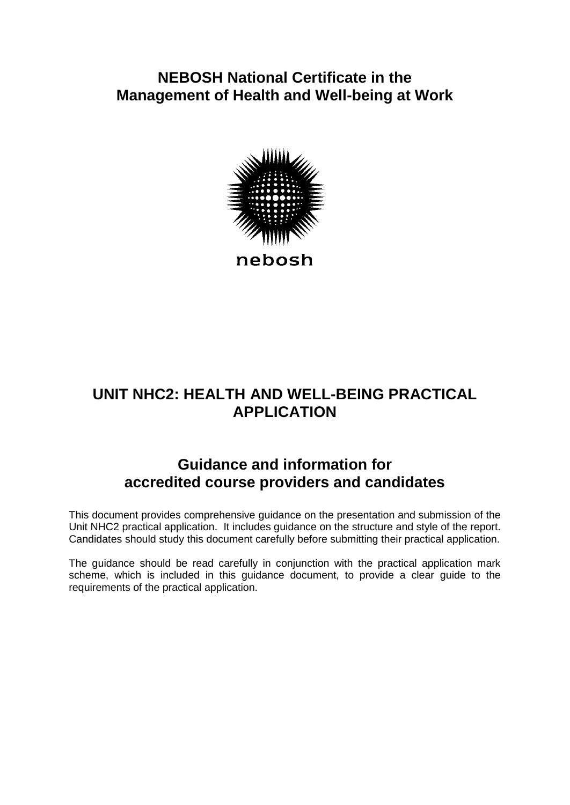## **NEBOSH National Certificate in the Management of Health and Well-being at Work**



# **UNIT NHC2: HEALTH AND WELL-BEING PRACTICAL APPLICATION**

# **Guidance and information for accredited course providers and candidates**

This document provides comprehensive guidance on the presentation and submission of the Unit NHC2 practical application. It includes guidance on the structure and style of the report. Candidates should study this document carefully before submitting their practical application.

The guidance should be read carefully in conjunction with the practical application mark scheme, which is included in this guidance document, to provide a clear guide to the requirements of the practical application.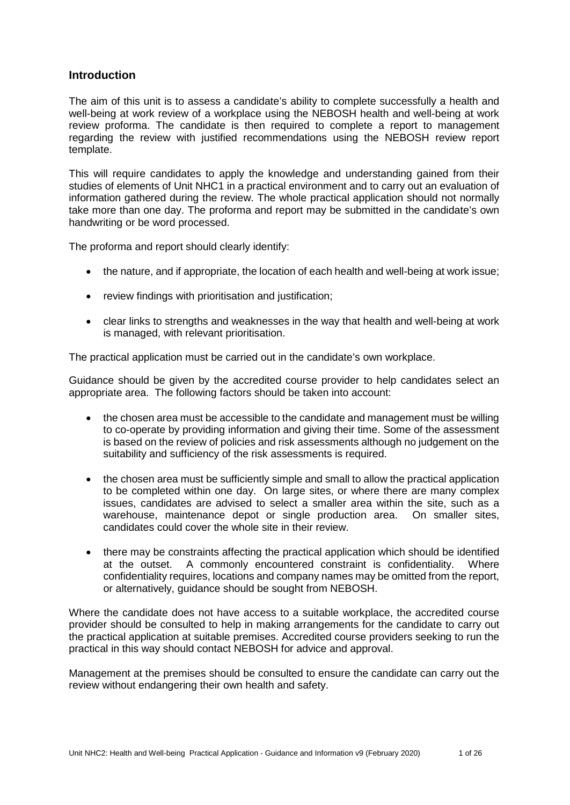## **Introduction**

The aim of this unit is to assess a candidate's ability to complete successfully a health and well-being at work review of a workplace using the NEBOSH health and well-being at work review proforma. The candidate is then required to complete a report to management regarding the review with justified recommendations using the NEBOSH review report template.

This will require candidates to apply the knowledge and understanding gained from their studies of elements of Unit NHC1 in a practical environment and to carry out an evaluation of information gathered during the review. The whole practical application should not normally take more than one day. The proforma and report may be submitted in the candidate's own handwriting or be word processed.

The proforma and report should clearly identify:

- the nature, and if appropriate, the location of each health and well-being at work issue;
- review findings with prioritisation and justification;
- clear links to strengths and weaknesses in the way that health and well-being at work is managed, with relevant prioritisation.

The practical application must be carried out in the candidate's own workplace.

Guidance should be given by the accredited course provider to help candidates select an appropriate area. The following factors should be taken into account:

- the chosen area must be accessible to the candidate and management must be willing to co-operate by providing information and giving their time. Some of the assessment is based on the review of policies and risk assessments although no judgement on the suitability and sufficiency of the risk assessments is required.
- the chosen area must be sufficiently simple and small to allow the practical application to be completed within one day. On large sites, or where there are many complex issues, candidates are advised to select a smaller area within the site, such as a warehouse, maintenance depot or single production area. On smaller sites, candidates could cover the whole site in their review.
- there may be constraints affecting the practical application which should be identified at the outset. A commonly encountered constraint is confidentiality. Where confidentiality requires, locations and company names may be omitted from the report, or alternatively, guidance should be sought from NEBOSH.

Where the candidate does not have access to a suitable workplace, the accredited course provider should be consulted to help in making arrangements for the candidate to carry out the practical application at suitable premises. Accredited course providers seeking to run the practical in this way should contact NEBOSH for advice and approval.

Management at the premises should be consulted to ensure the candidate can carry out the review without endangering their own health and safety.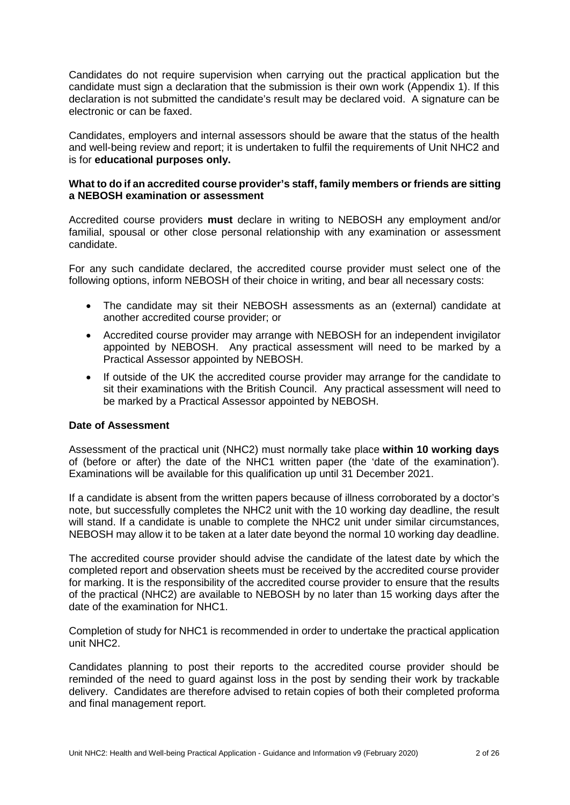Candidates do not require supervision when carrying out the practical application but the candidate must sign a declaration that the submission is their own work (Appendix 1). If this declaration is not submitted the candidate's result may be declared void. A signature can be electronic or can be faxed.

Candidates, employers and internal assessors should be aware that the status of the health and well-being review and report; it is undertaken to fulfil the requirements of Unit NHC2 and is for **educational purposes only.**

#### **What to do if an accredited course provider's staff, family members or friends are sitting a NEBOSH examination or assessment**

Accredited course providers **must** declare in writing to NEBOSH any employment and/or familial, spousal or other close personal relationship with any examination or assessment candidate.

For any such candidate declared, the accredited course provider must select one of the following options, inform NEBOSH of their choice in writing, and bear all necessary costs:

- The candidate may sit their NEBOSH assessments as an (external) candidate at another accredited course provider; or
- Accredited course provider may arrange with NEBOSH for an independent invigilator appointed by NEBOSH. Any practical assessment will need to be marked by a Practical Assessor appointed by NEBOSH.
- If outside of the UK the accredited course provider may arrange for the candidate to sit their examinations with the British Council. Any practical assessment will need to be marked by a Practical Assessor appointed by NEBOSH.

#### **Date of Assessment**

Assessment of the practical unit (NHC2) must normally take place **within 10 working days** of (before or after) the date of the NHC1 written paper (the 'date of the examination'). Examinations will be available for this qualification up until 31 December 2021.

If a candidate is absent from the written papers because of illness corroborated by a doctor's note, but successfully completes the NHC2 unit with the 10 working day deadline, the result will stand. If a candidate is unable to complete the NHC2 unit under similar circumstances, NEBOSH may allow it to be taken at a later date beyond the normal 10 working day deadline.

The accredited course provider should advise the candidate of the latest date by which the completed report and observation sheets must be received by the accredited course provider for marking. It is the responsibility of the accredited course provider to ensure that the results of the practical (NHC2) are available to NEBOSH by no later than 15 working days after the date of the examination for NHC1.

Completion of study for NHC1 is recommended in order to undertake the practical application unit NHC2.

Candidates planning to post their reports to the accredited course provider should be reminded of the need to guard against loss in the post by sending their work by trackable delivery. Candidates are therefore advised to retain copies of both their completed proforma and final management report.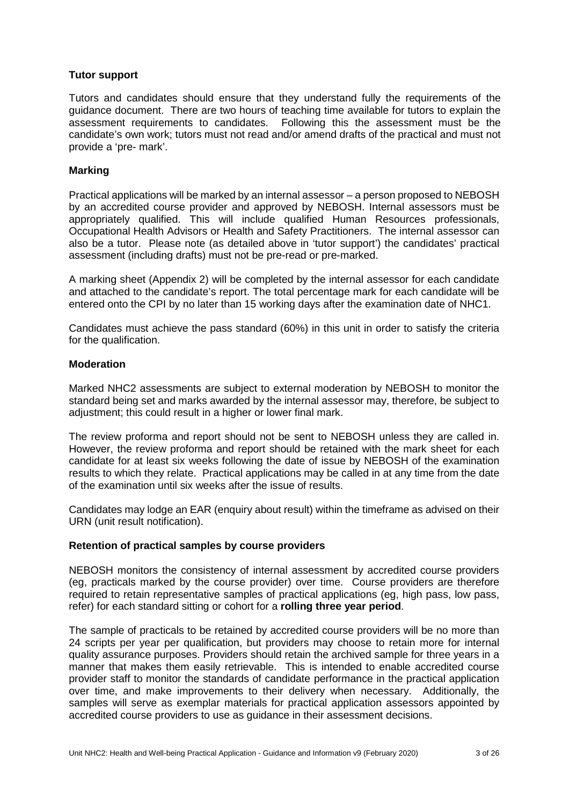#### **Tutor support**

Tutors and candidates should ensure that they understand fully the requirements of the guidance document. There are two hours of teaching time available for tutors to explain the assessment requirements to candidates. Following this the assessment must be the candidate's own work; tutors must not read and/or amend drafts of the practical and must not provide a 'pre- mark'.

#### **Marking**

Practical applications will be marked by an internal assessor – a person proposed to NEBOSH by an accredited course provider and approved by NEBOSH. Internal assessors must be appropriately qualified. This will include qualified Human Resources professionals, Occupational Health Advisors or Health and Safety Practitioners. The internal assessor can also be a tutor. Please note (as detailed above in 'tutor support') the candidates' practical assessment (including drafts) must not be pre-read or pre-marked.

A marking sheet (Appendix 2) will be completed by the internal assessor for each candidate and attached to the candidate's report. The total percentage mark for each candidate will be entered onto the CPI by no later than 15 working days after the examination date of NHC1.

Candidates must achieve the pass standard (60%) in this unit in order to satisfy the criteria for the qualification.

#### **Moderation**

Marked NHC2 assessments are subject to external moderation by NEBOSH to monitor the standard being set and marks awarded by the internal assessor may, therefore, be subject to adjustment; this could result in a higher or lower final mark.

The review proforma and report should not be sent to NEBOSH unless they are called in. However, the review proforma and report should be retained with the mark sheet for each candidate for at least six weeks following the date of issue by NEBOSH of the examination results to which they relate. Practical applications may be called in at any time from the date of the examination until six weeks after the issue of results.

Candidates may lodge an EAR (enquiry about result) within the timeframe as advised on their URN (unit result notification).

#### **Retention of practical samples by course providers**

NEBOSH monitors the consistency of internal assessment by accredited course providers (eg, practicals marked by the course provider) over time. Course providers are therefore required to retain representative samples of practical applications (eg, high pass, low pass, refer) for each standard sitting or cohort for a **rolling three year period**.

The sample of practicals to be retained by accredited course providers will be no more than 24 scripts per year per qualification, but providers may choose to retain more for internal quality assurance purposes. Providers should retain the archived sample for three years in a manner that makes them easily retrievable. This is intended to enable accredited course provider staff to monitor the standards of candidate performance in the practical application over time, and make improvements to their delivery when necessary. Additionally, the samples will serve as exemplar materials for practical application assessors appointed by accredited course providers to use as guidance in their assessment decisions.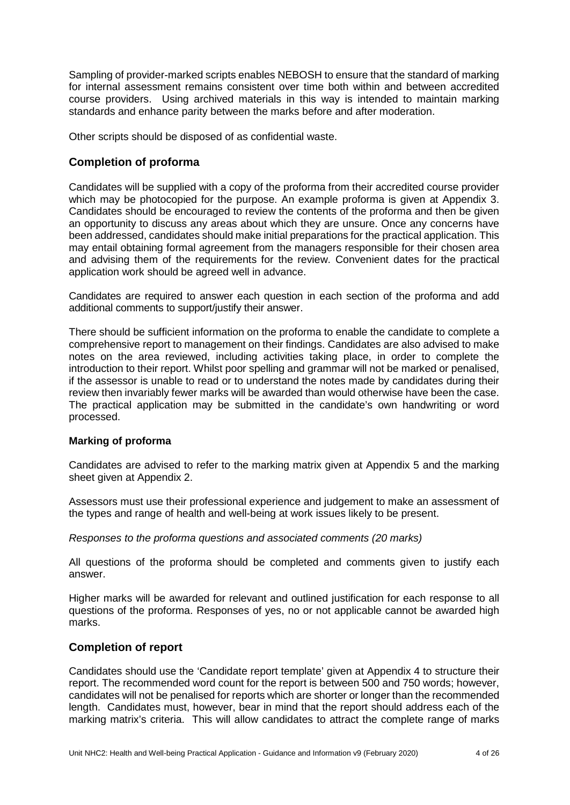Sampling of provider-marked scripts enables NEBOSH to ensure that the standard of marking for internal assessment remains consistent over time both within and between accredited course providers. Using archived materials in this way is intended to maintain marking standards and enhance parity between the marks before and after moderation.

Other scripts should be disposed of as confidential waste.

## **Completion of proforma**

Candidates will be supplied with a copy of the proforma from their accredited course provider which may be photocopied for the purpose. An example proforma is given at Appendix 3. Candidates should be encouraged to review the contents of the proforma and then be given an opportunity to discuss any areas about which they are unsure. Once any concerns have been addressed, candidates should make initial preparations for the practical application. This may entail obtaining formal agreement from the managers responsible for their chosen area and advising them of the requirements for the review. Convenient dates for the practical application work should be agreed well in advance.

Candidates are required to answer each question in each section of the proforma and add additional comments to support/justify their answer.

There should be sufficient information on the proforma to enable the candidate to complete a comprehensive report to management on their findings. Candidates are also advised to make notes on the area reviewed, including activities taking place, in order to complete the introduction to their report. Whilst poor spelling and grammar will not be marked or penalised, if the assessor is unable to read or to understand the notes made by candidates during their review then invariably fewer marks will be awarded than would otherwise have been the case. The practical application may be submitted in the candidate's own handwriting or word processed.

## **Marking of proforma**

Candidates are advised to refer to the marking matrix given at Appendix 5 and the marking sheet given at Appendix 2.

Assessors must use their professional experience and judgement to make an assessment of the types and range of health and well-being at work issues likely to be present.

## *Responses to the proforma questions and associated comments (20 marks)*

All questions of the proforma should be completed and comments given to justify each answer.

Higher marks will be awarded for relevant and outlined justification for each response to all questions of the proforma. Responses of yes, no or not applicable cannot be awarded high marks.

## **Completion of report**

Candidates should use the 'Candidate report template' given at Appendix 4 to structure their report. The recommended word count for the report is between 500 and 750 words; however, candidates will not be penalised for reports which are shorter or longer than the recommended length. Candidates must, however, bear in mind that the report should address each of the marking matrix's criteria. This will allow candidates to attract the complete range of marks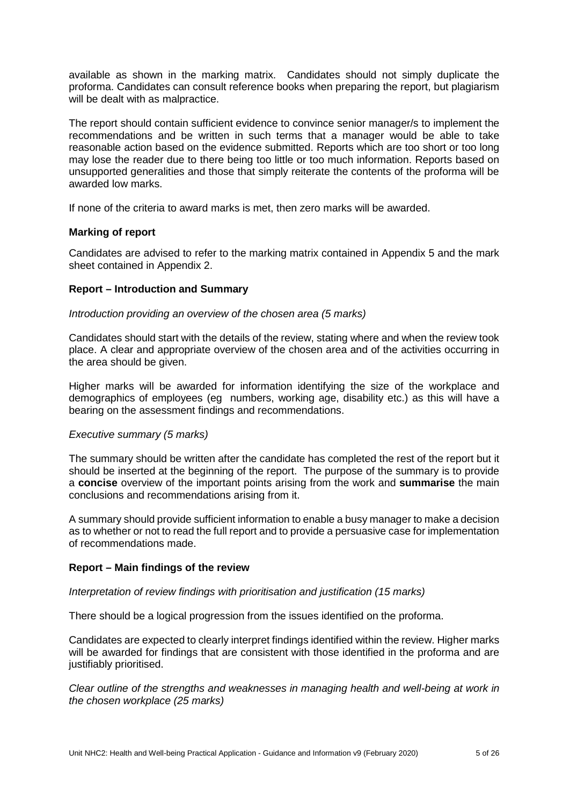available as shown in the marking matrix. Candidates should not simply duplicate the proforma. Candidates can consult reference books when preparing the report, but plagiarism will be dealt with as malpractice.

The report should contain sufficient evidence to convince senior manager/s to implement the recommendations and be written in such terms that a manager would be able to take reasonable action based on the evidence submitted. Reports which are too short or too long may lose the reader due to there being too little or too much information. Reports based on unsupported generalities and those that simply reiterate the contents of the proforma will be awarded low marks.

If none of the criteria to award marks is met, then zero marks will be awarded.

## **Marking of report**

Candidates are advised to refer to the marking matrix contained in Appendix 5 and the mark sheet contained in Appendix 2.

#### **Report – Introduction and Summary**

#### *Introduction providing an overview of the chosen area (5 marks)*

Candidates should start with the details of the review, stating where and when the review took place. A clear and appropriate overview of the chosen area and of the activities occurring in the area should be given.

Higher marks will be awarded for information identifying the size of the workplace and demographics of employees (eg numbers, working age, disability etc.) as this will have a bearing on the assessment findings and recommendations.

#### *Executive summary (5 marks)*

The summary should be written after the candidate has completed the rest of the report but it should be inserted at the beginning of the report. The purpose of the summary is to provide a **concise** overview of the important points arising from the work and **summarise** the main conclusions and recommendations arising from it.

A summary should provide sufficient information to enable a busy manager to make a decision as to whether or not to read the full report and to provide a persuasive case for implementation of recommendations made.

## **Report – Main findings of the review**

#### *Interpretation of review findings with prioritisation and justification (15 marks)*

There should be a logical progression from the issues identified on the proforma.

Candidates are expected to clearly interpret findings identified within the review. Higher marks will be awarded for findings that are consistent with those identified in the proforma and are justifiably prioritised.

*Clear outline of the strengths and weaknesses in managing health and well-being at work in the chosen workplace (25 marks)*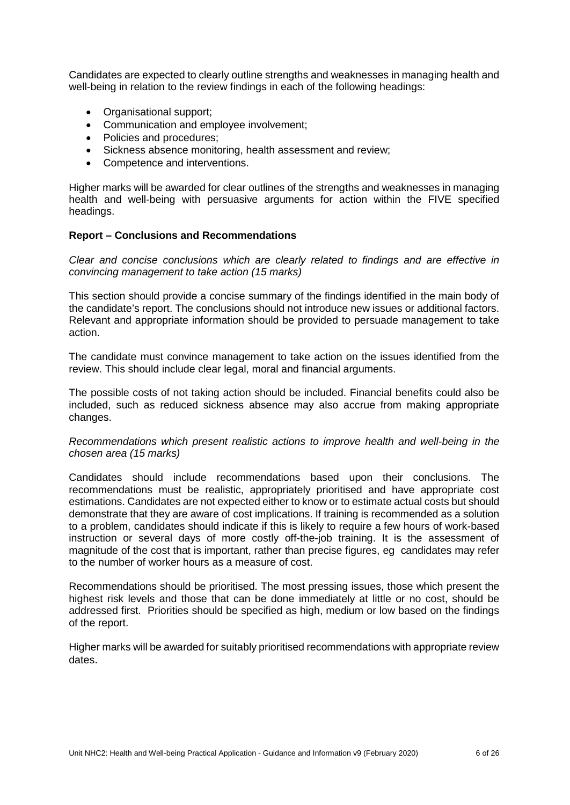Candidates are expected to clearly outline strengths and weaknesses in managing health and well-being in relation to the review findings in each of the following headings:

- Organisational support;
- Communication and employee involvement;
- Policies and procedures;
- Sickness absence monitoring, health assessment and review;
- Competence and interventions.

Higher marks will be awarded for clear outlines of the strengths and weaknesses in managing health and well-being with persuasive arguments for action within the FIVE specified headings.

#### **Report – Conclusions and Recommendations**

*Clear and concise conclusions which are clearly related to findings and are effective in convincing management to take action (15 marks)*

This section should provide a concise summary of the findings identified in the main body of the candidate's report. The conclusions should not introduce new issues or additional factors. Relevant and appropriate information should be provided to persuade management to take action.

The candidate must convince management to take action on the issues identified from the review. This should include clear legal, moral and financial arguments.

The possible costs of not taking action should be included. Financial benefits could also be included, such as reduced sickness absence may also accrue from making appropriate changes.

*Recommendations which present realistic actions to improve health and well-being in the chosen area (15 marks)*

Candidates should include recommendations based upon their conclusions. The recommendations must be realistic, appropriately prioritised and have appropriate cost estimations. Candidates are not expected either to know or to estimate actual costs but should demonstrate that they are aware of cost implications. If training is recommended as a solution to a problem, candidates should indicate if this is likely to require a few hours of work-based instruction or several days of more costly off-the-job training. It is the assessment of magnitude of the cost that is important, rather than precise figures, eg candidates may refer to the number of worker hours as a measure of cost.

Recommendations should be prioritised. The most pressing issues, those which present the highest risk levels and those that can be done immediately at little or no cost, should be addressed first. Priorities should be specified as high, medium or low based on the findings of the report.

Higher marks will be awarded for suitably prioritised recommendations with appropriate review dates.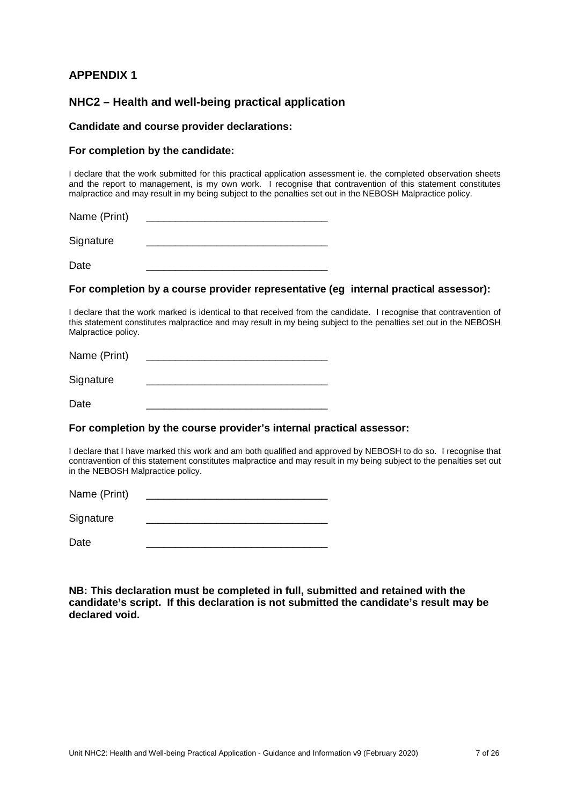Signature

## **NHC2 – Health and well-being practical application**

#### **Candidate and course provider declarations:**

#### **For completion by the candidate:**

I declare that the work submitted for this practical application assessment ie. the completed observation sheets and the report to management, is my own work. I recognise that contravention of this statement constitutes malpractice and may result in my being subject to the penalties set out in the NEBOSH Malpractice policy.

Name (Print) **Name** (Print)

Date \_\_\_\_\_\_\_\_\_\_\_\_\_\_\_\_\_\_\_\_\_\_\_\_\_\_\_\_\_\_\_

#### **For completion by a course provider representative (eg internal practical assessor):**

I declare that the work marked is identical to that received from the candidate. I recognise that contravention of this statement constitutes malpractice and may result in my being subject to the penalties set out in the NEBOSH Malpractice policy.

| Name (Print) |  |
|--------------|--|
| Signature    |  |
| Date         |  |

# **For completion by the course provider's internal practical assessor:**

I declare that I have marked this work and am both qualified and approved by NEBOSH to do so. I recognise that contravention of this statement constitutes malpractice and may result in my being subject to the penalties set out in the NEBOSH Malpractice policy.

Name (Print)

Signature

Date \_\_\_\_\_\_\_\_\_\_\_\_\_\_\_\_\_\_\_\_\_\_\_\_\_\_\_\_\_\_\_

**NB: This declaration must be completed in full, submitted and retained with the candidate's script. If this declaration is not submitted the candidate's result may be declared void.**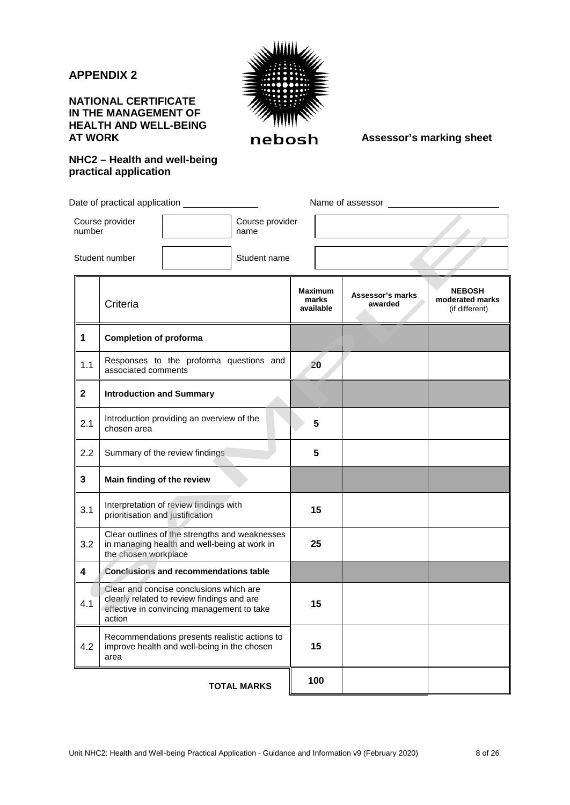## **NATIONAL CERTIFICATE IN THE MANAGEMENT OF HEALTH AND WELL-BEING**



**REBOSH** Assessor's marking sheet

## **NHC2 – Health and well-being practical application**

Date of practical application **Name of assessor** 

Student number Student name

Course provider

number

 $\overline{a}$ 

Course provider

name

|              | Criteria                                                                                                                                      | <b>Maximum</b><br>marks<br>available | Assessor's marks<br>awarded | <b>NEBOSH</b><br>moderated marks<br>(if different) |
|--------------|-----------------------------------------------------------------------------------------------------------------------------------------------|--------------------------------------|-----------------------------|----------------------------------------------------|
| 1            | <b>Completion of proforma</b>                                                                                                                 |                                      |                             |                                                    |
| 1.1          | Responses to the proforma questions and<br>associated comments                                                                                | 20                                   |                             |                                                    |
| $\mathbf{2}$ | <b>Introduction and Summary</b>                                                                                                               |                                      |                             |                                                    |
| 2.1          | Introduction providing an overview of the<br>chosen area                                                                                      | 5                                    |                             |                                                    |
| 2.2          | Summary of the review findings                                                                                                                | 5                                    |                             |                                                    |
| 3            | Main finding of the review                                                                                                                    |                                      |                             |                                                    |
| 3.1          | Interpretation of review findings with<br>prioritisation and justification                                                                    | 15                                   |                             |                                                    |
| 3.2          | Clear outlines of the strengths and weaknesses<br>in managing health and well-being at work in<br>the chosen workplace                        | 25                                   |                             |                                                    |
| 4            | <b>Conclusions and recommendations table</b>                                                                                                  |                                      |                             |                                                    |
| 4.1          | Clear and concise conclusions which are<br>clearly related to review findings and are<br>effective in convincing management to take<br>action | 15                                   |                             |                                                    |
| 4.2          | Recommendations presents realistic actions to<br>improve health and well-being in the chosen<br>area                                          | 15                                   |                             |                                                    |
|              | <b>TOTAL MARKS</b>                                                                                                                            | 100                                  |                             |                                                    |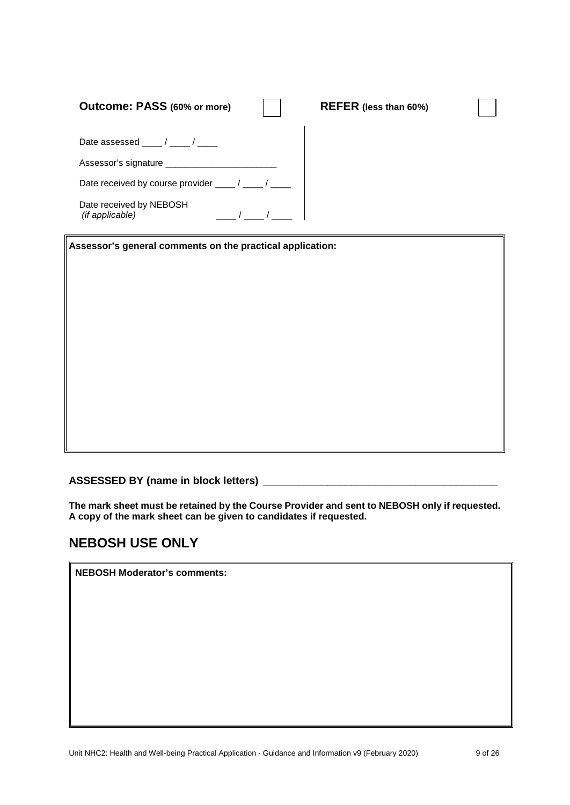| Outcome: PASS (60% or more)                       | REFER (less than 60%) |
|---------------------------------------------------|-----------------------|
| Date assessed $\frac{1}{\sqrt{1-\frac{1}{2}}}$    |                       |
| Assessor's signature ______________               |                       |
| Date received by course provider ____/ ___/ __    |                       |
| Date received by NEBOSH<br><i>(if applicable)</i> |                       |

**Assessor's general comments on the practical application:**

**ASSESSED BY (name in block letters)** \_\_\_\_\_\_\_\_\_\_\_\_\_\_\_\_\_\_\_\_\_\_\_\_\_\_\_\_\_\_\_\_\_\_\_\_\_\_\_\_

**The mark sheet must be retained by the Course Provider and sent to NEBOSH only if requested. A copy of the mark sheet can be given to candidates if requested.**

## **NEBOSH USE ONLY**

**NEBOSH Moderator's comments:**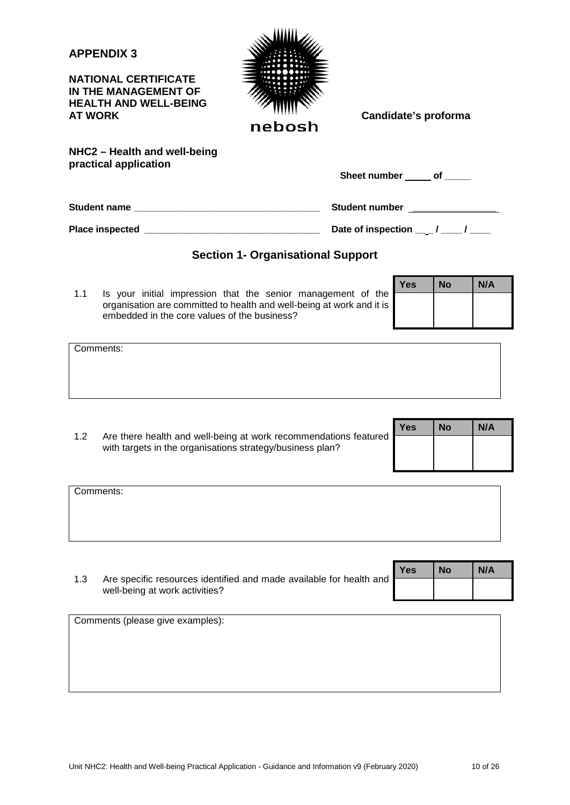**NATIONAL CERTIFICATE IN THE MANAGEMENT OF HEALTH AND WELL-BEING** 



**NHC2 – Health and well-being practical application**

| <b>Sheet number</b> | οf |
|---------------------|----|
|                     |    |

**Student name \_\_\_\_\_\_\_\_\_\_\_\_\_\_\_\_\_\_\_\_\_\_\_\_\_\_\_\_\_\_\_\_\_\_\_\_ Student number \_\_\_\_\_\_\_\_\_\_\_\_\_\_\_\_**

**Place inspected \_\_\_\_\_\_\_\_\_\_\_\_\_\_\_\_\_\_\_\_\_\_\_\_\_\_\_\_\_\_\_\_\_\_ Date of inspection \_\_ \_ / \_\_\_\_ / \_\_\_\_**

## **Section 1- Organisational Support**

1.1 Is your initial impression that the senior management of the organisation are committed to health and well-being at work and it is embedded in the core values of the business?

| <b>Yes</b> | <b>No</b> | N/A |
|------------|-----------|-----|
|            |           |     |
|            |           |     |

Comments:

|                                                                                                                               | <b>Yes</b> | <b>No</b> | N/A |
|-------------------------------------------------------------------------------------------------------------------------------|------------|-----------|-----|
| Are there health and well-being at work recommendations featured<br>with targets in the organisations strategy/business plan? |            |           |     |

| Comments: |  |  |
|-----------|--|--|
|           |  |  |
|           |  |  |
|           |  |  |

|                                                                                                       | <b>Yes</b> | <b>No</b> | N/A |
|-------------------------------------------------------------------------------------------------------|------------|-----------|-----|
| Are specific resources identified and made available for health and<br>well-being at work activities? |            |           |     |

Comments (please give examples):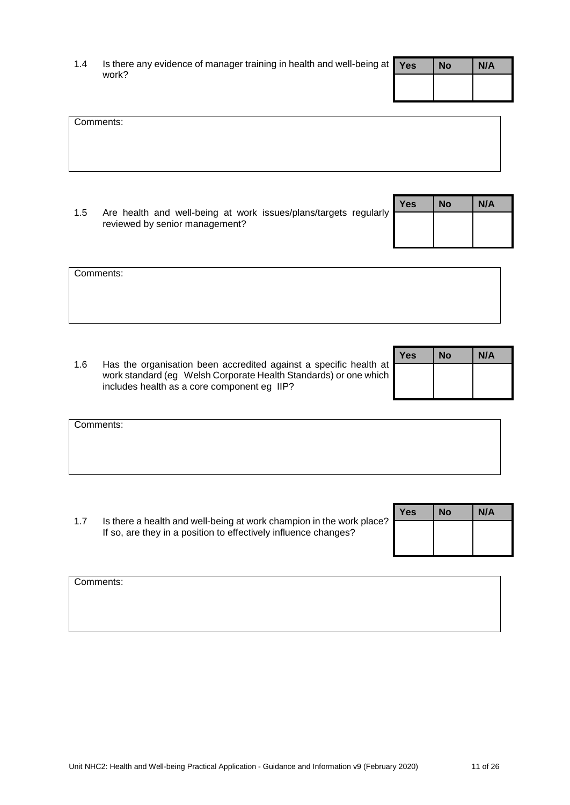| 1.4 | Is there any evidence of manager training in health and well-being at $\gamma_{\rm es}$ | <b>No</b> | N/A |
|-----|-----------------------------------------------------------------------------------------|-----------|-----|
|     | work?                                                                                   |           |     |

| Comments: |  |  |
|-----------|--|--|
|           |  |  |
|           |  |  |
|           |  |  |
|           |  |  |
|           |  |  |
|           |  |  |

1.5 Are health and well-being at work issues/plans/targets regularly reviewed by senior management? **Yes No N/A**

| Comments: |  |  |
|-----------|--|--|
|           |  |  |
|           |  |  |
|           |  |  |

1.6 Has the organisation been accredited against a specific health at work standard (eg Welsh Corporate Health Standards) or one which includes health as a core component eg IIP?

| <b>Yes</b> | No | N/A |
|------------|----|-----|
|            |    |     |
|            |    |     |

| Comments: |  |
|-----------|--|
|           |  |
|           |  |
|           |  |

1.7 Is there a health and well-being at work champion in the work place? If so, are they in a position to effectively influence changes?

| <b>Yes</b> | <b>No</b> | N/A |
|------------|-----------|-----|
|            |           |     |
|            |           |     |

| Comments: |  |  |  |
|-----------|--|--|--|
|           |  |  |  |
|           |  |  |  |
|           |  |  |  |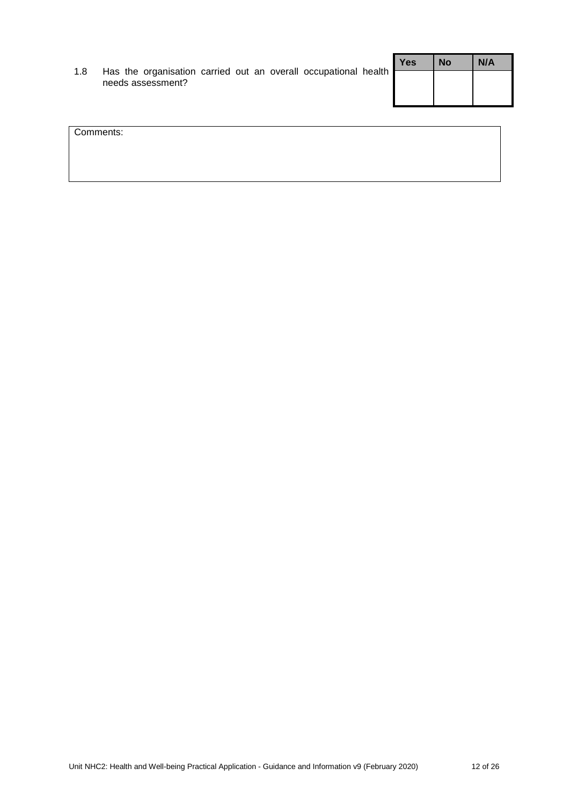|     |                                                                                      |  |  |  | <b>Yes</b> | <b>No</b> | N/A |
|-----|--------------------------------------------------------------------------------------|--|--|--|------------|-----------|-----|
| 1.8 | Has the organisation carried out an overall occupational health<br>needs assessment? |  |  |  |            |           |     |

| Comments: |  |  |
|-----------|--|--|
|           |  |  |
|           |  |  |
|           |  |  |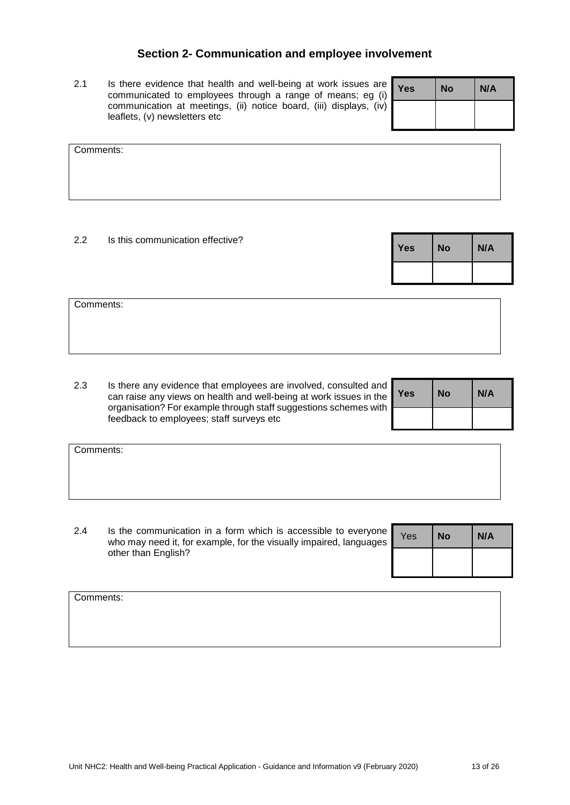## **Section 2- Communication and employee involvement**

2.1 Is there evidence that health and well-being at work issues are communicated to employees through a range of means; eg (i) communication at meetings, (ii) notice board, (iii) displays, (iv) leaflets, (v) newsletters etc

| <b>Yes</b> | <b>No</b> | N/A |
|------------|-----------|-----|
|            |           |     |

| Comments: |  |  |
|-----------|--|--|
|           |  |  |
|           |  |  |
|           |  |  |
|           |  |  |
|           |  |  |
|           |  |  |

#### 2.2 Is this communication effective?

| <b>Yes</b> | <b>No</b> | N/A |
|------------|-----------|-----|
|            |           |     |

Comments:

2.3 Is there any evidence that employees are involved, consulted and can raise any views on health and well-being at work issues in the organisation? For example through staff suggestions schemes with feedback to employees; staff surveys etc

| <b>Yes</b> | <b>No</b> | N/A |
|------------|-----------|-----|
|            |           |     |

| Comments: |  |  |  |
|-----------|--|--|--|
|           |  |  |  |
|           |  |  |  |
|           |  |  |  |
|           |  |  |  |
|           |  |  |  |
|           |  |  |  |

2.4 Is the communication in a form which is accessible to everyone who may need it, for example, for the visually impaired, languages other than English?

| Yes | <b>No</b> | N/A |
|-----|-----------|-----|
|     |           |     |

Comments: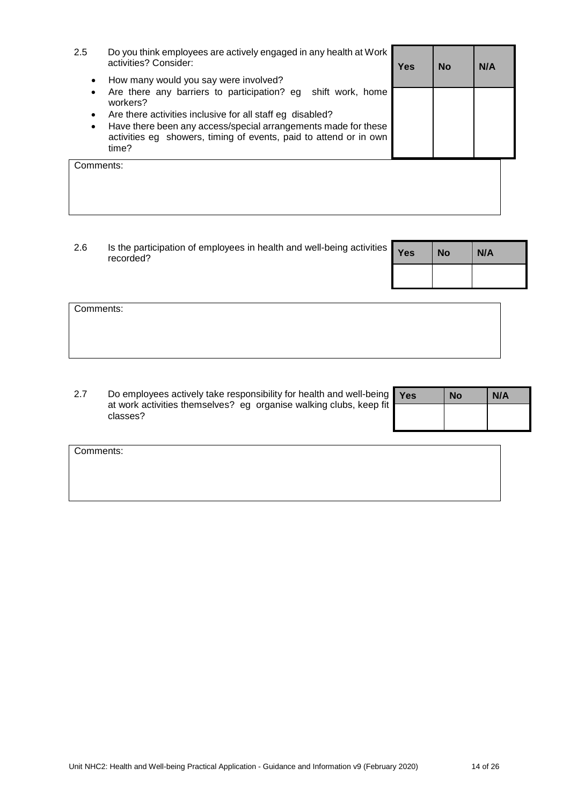| 2.5            | Do you think employees are actively engaged in any health at Work<br>activities? Consider:                                                                                                                                                                                                                                        | Yes | <b>No</b> | N/A |
|----------------|-----------------------------------------------------------------------------------------------------------------------------------------------------------------------------------------------------------------------------------------------------------------------------------------------------------------------------------|-----|-----------|-----|
| ٠<br>$\bullet$ | How many would you say were involved?<br>Are there any barriers to participation? eg<br>shift work, home<br>workers?<br>Are there activities inclusive for all staff eg disabled?<br>Have there been any access/special arrangements made for these<br>activities eg showers, timing of events, paid to attend or in own<br>time? |     |           |     |
| Comments:      |                                                                                                                                                                                                                                                                                                                                   |     |           |     |

| 2.6 | Is the participation of employees in health and well-being activities <b>Yes</b><br>recorded? |  | <b>No</b> | N/A |
|-----|-----------------------------------------------------------------------------------------------|--|-----------|-----|
|     |                                                                                               |  |           |     |

| Comments: |  |  |
|-----------|--|--|
|           |  |  |
|           |  |  |
|           |  |  |

| 2.7 | Do employees actively take responsibility for health and well-being   Yes      | <b>No</b> | N/A |
|-----|--------------------------------------------------------------------------------|-----------|-----|
|     | at work activities themselves? eg organise walking clubs, keep fit<br>classes? |           |     |

Comments: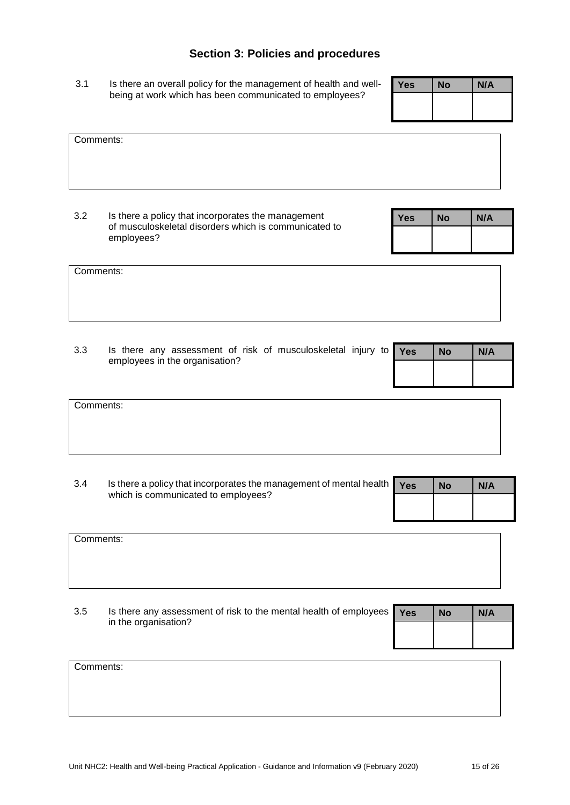## **Section 3: Policies and procedures**

3.1 Is there an overall policy for the management of health and wellbeing at work which has been communicated to employees?

| <b>Yes</b> | <b>No</b> | N/A |
|------------|-----------|-----|
|            |           |     |
|            |           |     |

| Comments: |  |  |
|-----------|--|--|
|           |  |  |
|           |  |  |
|           |  |  |
|           |  |  |
|           |  |  |
|           |  |  |

3.2 Is there a policy that incorporates the management of musculoskeletal disorders which is communicated to employees?

| <b>Yes</b> | <b>No</b> | N/A |
|------------|-----------|-----|
|            |           |     |
|            |           |     |

| Comments: |  |  |  |
|-----------|--|--|--|
|           |  |  |  |
|           |  |  |  |
|           |  |  |  |
|           |  |  |  |

| 3.3 | Is there any assessment of risk of musculoskeletal injury to $\gamma_{\rm e s}$ | <b>No</b> | N/A |
|-----|---------------------------------------------------------------------------------|-----------|-----|
|     | employees in the organisation?                                                  |           |     |
|     |                                                                                 |           |     |

| Comments: |  |  |
|-----------|--|--|
|           |  |  |
|           |  |  |
|           |  |  |

| 3.4 | Is there a policy that incorporates the management of mental health $\sqrt{\frac{1}{1 + \epsilon}}$ |  | <b>No</b> | N/A |
|-----|-----------------------------------------------------------------------------------------------------|--|-----------|-----|
|     | which is communicated to employees?                                                                 |  |           |     |

| Comments:   |                                                                                                                 |  |  |
|-------------|-----------------------------------------------------------------------------------------------------------------|--|--|
|             |                                                                                                                 |  |  |
|             |                                                                                                                 |  |  |
| $        -$ | the contract of the contract of the contract of the contract of the contract of the contract of the contract of |  |  |

3.5 Is there any assessment of risk to the mental health of employees in the organisation? **Yes No N/A**

| Comments: |  |  |
|-----------|--|--|
|           |  |  |
|           |  |  |
|           |  |  |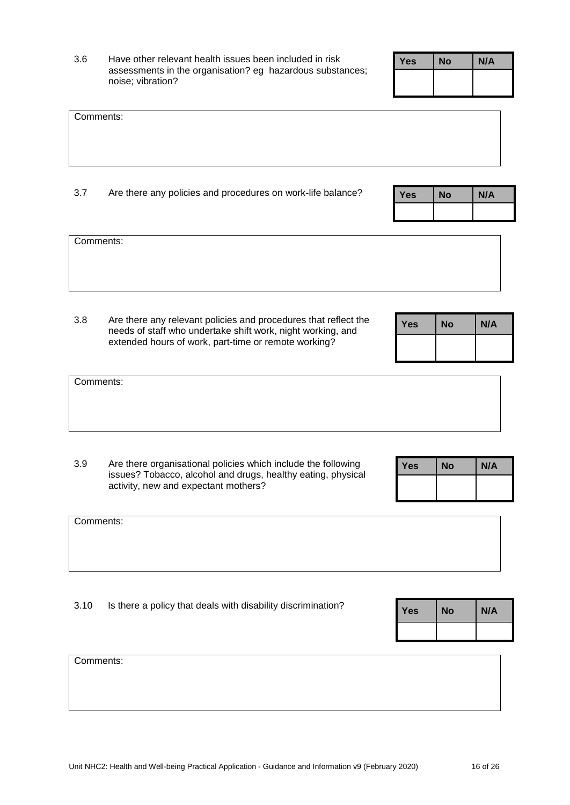3.6 Have other relevant health issues been included in risk assessments in the organisation? eg hazardous substances; noise; vibration?

| <b>Yes</b> | No | N/A |
|------------|----|-----|
|            |    |     |

| Comments: |  |
|-----------|--|
|           |  |
|           |  |
|           |  |
|           |  |
|           |  |

3.7 Are there any policies and procedures on work-life balance?

| <b>Yes</b> | No | N/A |
|------------|----|-----|
|            |    |     |

Comments:

Comments:

3.8 Are there any relevant policies and procedures that reflect the needs of staff who undertake shift work, night working, and extended hours of work, part-time or remote working?

| <b>Yes</b> | <b>No</b> | N/A |
|------------|-----------|-----|
|            |           |     |

| Comments: |  |  |
|-----------|--|--|
|           |  |  |
|           |  |  |
|           |  |  |
|           |  |  |

3.9 Are there organisational policies which include the following issues? Tobacco, alcohol and drugs, healthy eating, physical activity, new and expectant mothers?

| <b>Yes</b> | No | N/A |
|------------|----|-----|
|            |    |     |

| Comments: |  |  |
|-----------|--|--|
|           |  |  |
|           |  |  |
|           |  |  |

3.10 Is there a policy that deals with disability discrimination? **Yes No N/A**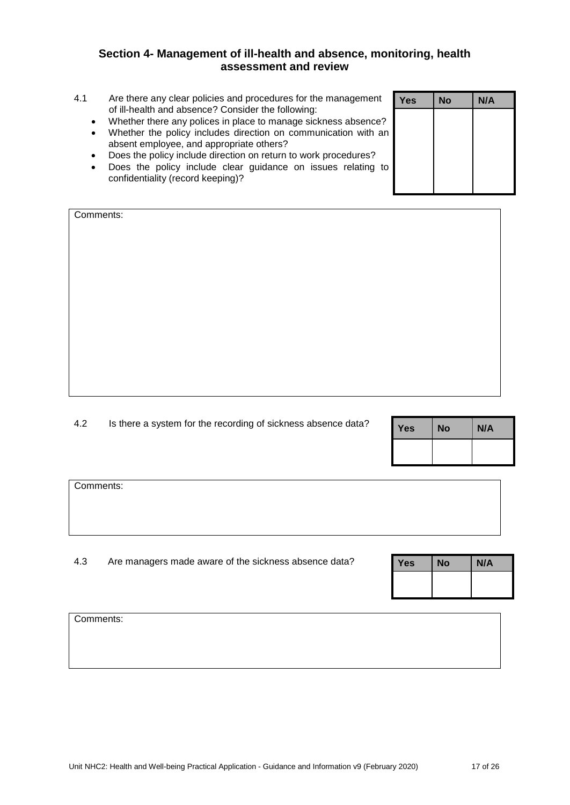## **Section 4- Management of ill-health and absence, monitoring, health assessment and review**

- 4.1 Are there any clear policies and procedures for the management of ill-health and absence? Consider the following:
	-
	- Whether the policy includes direction on communication with an absent employee, and appropriate others?
	- Does the policy include direction on return to work procedures?
	- Does the policy include clear guidance on issues relating to confidentiality (record keeping)?

| Comments: |  |
|-----------|--|
|           |  |
|           |  |
|           |  |
|           |  |
|           |  |
|           |  |
|           |  |
|           |  |
|           |  |
|           |  |
|           |  |
|           |  |
|           |  |
|           |  |
|           |  |

4.2 Is there a system for the recording of sickness absence data?

| <b>Yes</b> | <b>No</b> | N/A |
|------------|-----------|-----|
|            |           |     |

Yes **No N/A** 

Comments:

4.3 Are managers made aware of the sickness absence data?

| No | N/A |
|----|-----|
|    |     |
|    |     |

Comments:

| <u>U ili hodith dha doochoo : Oonoldor tho following.</u>      |  |
|----------------------------------------------------------------|--|
| Whether there any polices in place to manage sickness absence? |  |
| Whather the policy includes direction on communication with an |  |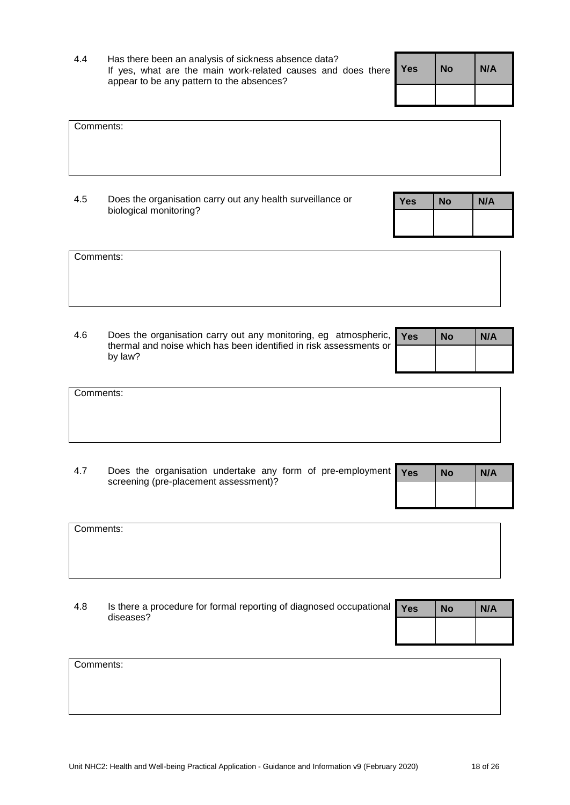| <b>Yes</b> | <b>No</b> | N/A |
|------------|-----------|-----|
|            |           |     |

| Comments:                                 |                      |               |                                                                                                                 |  |  |  |
|-------------------------------------------|----------------------|---------------|-----------------------------------------------------------------------------------------------------------------|--|--|--|
|                                           |                      |               |                                                                                                                 |  |  |  |
| $\sim$ $\sim$<br>$\overline{\phantom{a}}$ | $\sim$ $\sim$ $\sim$ | $\sim$ $\sim$ | the contract of the contract of the contract of the contract of the contract of the contract of the contract of |  |  |  |

4.5 Does the organisation carry out any health surveillance or biological monitoring?

| No | N/A |
|----|-----|
|    |     |
|    |     |

| Comments: |
|-----------|
|-----------|

4.6 Does the organisation carry out any monitoring, eg atmospheric, thermal and noise which has been identified in risk assessments or by law?

| <b>Yes</b> | No | N/A |
|------------|----|-----|
|            |    |     |

| Comments: |  |  |  |
|-----------|--|--|--|
|           |  |  |  |
|           |  |  |  |
|           |  |  |  |

4.7 Does the organisation undertake any form of pre-employment screening (pre-placement assessment)?

Yes **No N/A** 

| Comments: |  |  |
|-----------|--|--|
|           |  |  |
|           |  |  |
|           |  |  |
|           |  |  |

4.8 Is there a procedure for formal reporting of diagnosed occupational diseases?

| Yes | <b>No</b> | N/A |
|-----|-----------|-----|
|     |           |     |

| Comments: |  |  |  |
|-----------|--|--|--|
|           |  |  |  |
|           |  |  |  |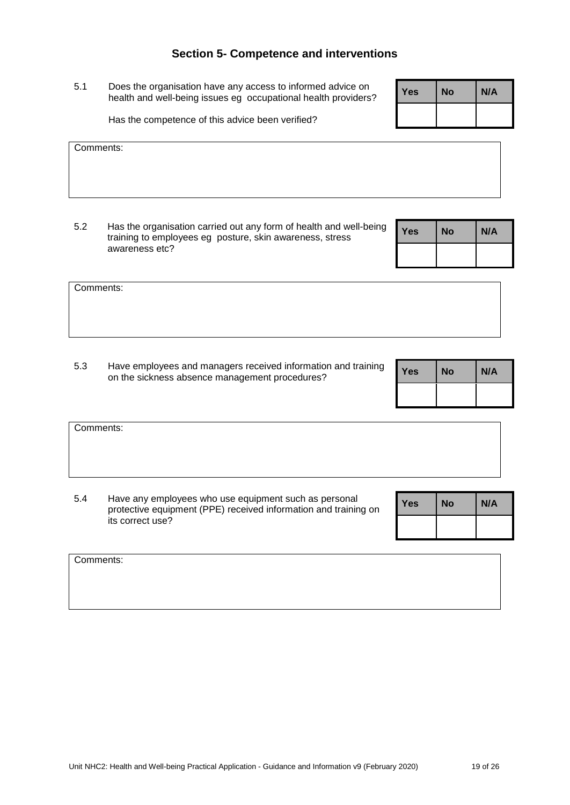## **Section 5- Competence and interventions**

5.1 Does the organisation have any access to informed advice on health and well-being issues eg occupational health providers?

Has the competence of this advice been verified?

Comments:

Comments:

5.2 Has the organisation carried out any form of health and well-being training to employees eg posture, skin awareness, stress awareness etc?

5.3 Have employees and managers received information and training Frave employees and managers received information and training **Yes** No N/A

| Comments: |                                                                                                                          |     |           |     |
|-----------|--------------------------------------------------------------------------------------------------------------------------|-----|-----------|-----|
|           |                                                                                                                          |     |           |     |
| 5.4       | Have any employees who use equipment such as personal<br>protective equipment (PPE) received information and training on | Yes | <b>No</b> | N/A |
|           | its correct use?                                                                                                         |     |           |     |

| Comments: |  |  |
|-----------|--|--|
|           |  |  |
|           |  |  |
|           |  |  |

| ing | <b>Yes</b> | <b>No</b> | N/A |
|-----|------------|-----------|-----|
|     |            |           |     |

| <b>Yes</b> | <b>No</b> | N/A |
|------------|-----------|-----|
|            |           |     |

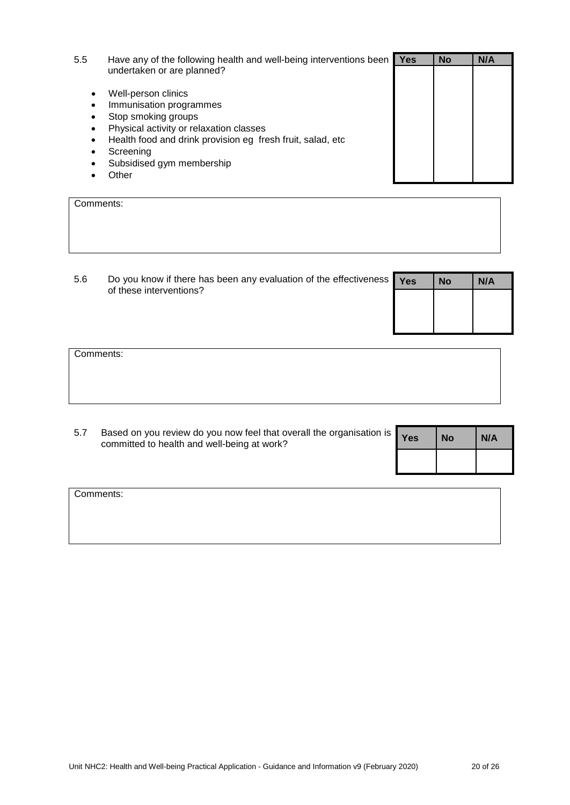| 5.5       | Have any of the following health and well-being interventions been | Yes | <b>No</b> | N/A |
|-----------|--------------------------------------------------------------------|-----|-----------|-----|
|           | undertaken or are planned?                                         |     |           |     |
|           | Well-person clinics                                                |     |           |     |
| $\bullet$ | Immunisation programmes                                            |     |           |     |
|           | Stop smoking groups                                                |     |           |     |
|           | Physical activity or relaxation classes                            |     |           |     |
|           | Health food and drink provision eg fresh fruit, salad, etc         |     |           |     |
|           | Screening                                                          |     |           |     |
|           | Subsidised gym membership                                          |     |           |     |
|           | )ther                                                              |     |           |     |

| Comments: |  |  |
|-----------|--|--|
|           |  |  |
|           |  |  |
|           |  |  |
|           |  |  |

| 5.6 | Do you know if there has been any evaluation of the effectiveness $\mathbf{Yes}$<br>of these interventions? | <b>No</b> | N/A |
|-----|-------------------------------------------------------------------------------------------------------------|-----------|-----|
|     |                                                                                                             |           |     |
|     |                                                                                                             |           |     |

| Comments: |  |  |
|-----------|--|--|
|           |  |  |
|           |  |  |
|           |  |  |
|           |  |  |

| 5.7 | Based on you review do you now feel that overall the organisation is $\gamma_{\rm es}$ | <b>No</b> | N/A |
|-----|----------------------------------------------------------------------------------------|-----------|-----|
|     | committed to health and well-being at work?                                            |           |     |

| <b>Yes</b> | <b>No</b> | N/A |
|------------|-----------|-----|
|            |           |     |

| Comments: |  |  |
|-----------|--|--|
|           |  |  |
|           |  |  |
|           |  |  |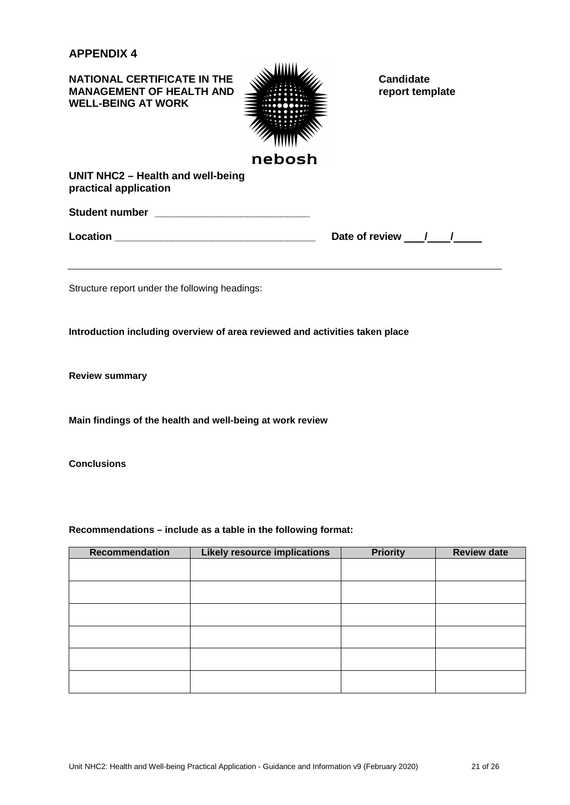**NATIONAL CERTIFICATE IN THE MANAGEMENT OF HEALTH AND WARD CANDIDATE CANDIDATE CANDIDATE CANDIDATE CANDIDATE CANDIDATE MANAGEMENT OF HEALTH AND WELL-BEING AT WORK**



**UNIT NHC2 – Health and well-being practical application**

**Student number \_\_\_\_\_\_\_\_\_\_\_\_\_\_\_\_\_\_\_\_\_\_\_\_\_\_\_**

**Location \_\_\_\_\_\_\_\_\_\_\_\_\_\_\_\_\_\_\_\_\_\_\_\_\_\_\_\_\_\_\_\_\_\_\_ Date of review / /**

Structure report under the following headings:

**Introduction including overview of area reviewed and activities taken place**

**Review summary**

**Main findings of the health and well-being at work review**

**Conclusions**

**Recommendations – include as a table in the following format:**

| <b>Recommendation</b> | <b>Likely resource implications</b> | <b>Priority</b> | <b>Review date</b> |
|-----------------------|-------------------------------------|-----------------|--------------------|
|                       |                                     |                 |                    |
|                       |                                     |                 |                    |
|                       |                                     |                 |                    |
|                       |                                     |                 |                    |
|                       |                                     |                 |                    |
|                       |                                     |                 |                    |
|                       |                                     |                 |                    |
|                       |                                     |                 |                    |
|                       |                                     |                 |                    |
|                       |                                     |                 |                    |
|                       |                                     |                 |                    |
|                       |                                     |                 |                    |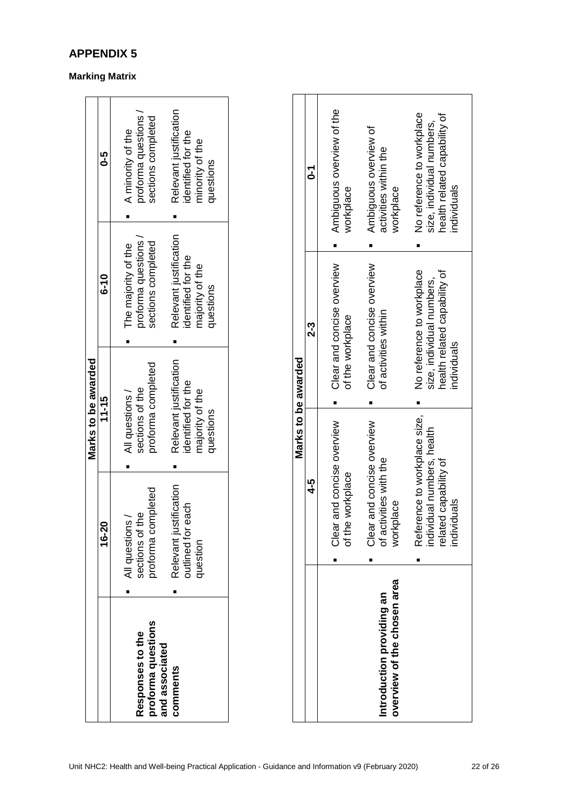|                                                                      |                                                                                                                   | Marks to be awarded                                                                                                                      |                                                                                                                                                |                                                                                                                                              |
|----------------------------------------------------------------------|-------------------------------------------------------------------------------------------------------------------|------------------------------------------------------------------------------------------------------------------------------------------|------------------------------------------------------------------------------------------------------------------------------------------------|----------------------------------------------------------------------------------------------------------------------------------------------|
|                                                                      | 16-20                                                                                                             | 11-15                                                                                                                                    | $\frac{0}{6}$                                                                                                                                  | <b>9-5</b>                                                                                                                                   |
| proforma questions<br>Responses to the<br>and associated<br>comments | Relevant justification<br>proforma completed<br>putlined for each<br>sections of the<br>All questions<br>question | Relevant justification<br>proforma completed<br>identified for the<br>sections of the<br>majority of the<br>All questions /<br>questions | Relevant justification<br>proforma questions<br>sections completed<br>The majority of the<br>dentified for the<br>majority of the<br>questions | Relevant justification<br>proforma questions<br>sections completed<br>A minority of the<br>dentified for the<br>minority of the<br>questions |

| Clear and concise overview<br>Clear and concise overview<br>No reference to workplace<br>health related capability of<br>size, individual numbers,<br>of activities within<br>of the workplace<br>2-3<br>Reference to workplace size,<br>and concise overview<br>and concise overview<br>individual numbers, health<br>related capability of<br>of activities with the<br>workplace<br>4-5<br>individuals<br>workplace<br>Clear a<br>Clear a<br>of the<br>overview of the chosen area<br>Introduction providing an |  | Marks to be awarded |                                                                                                       |
|--------------------------------------------------------------------------------------------------------------------------------------------------------------------------------------------------------------------------------------------------------------------------------------------------------------------------------------------------------------------------------------------------------------------------------------------------------------------------------------------------------------------|--|---------------------|-------------------------------------------------------------------------------------------------------|
|                                                                                                                                                                                                                                                                                                                                                                                                                                                                                                                    |  |                     | ć                                                                                                     |
|                                                                                                                                                                                                                                                                                                                                                                                                                                                                                                                    |  |                     | Ambiguous overview of the<br>workplace                                                                |
|                                                                                                                                                                                                                                                                                                                                                                                                                                                                                                                    |  |                     | Ambiguous overview of<br>activities within the<br>workplace                                           |
|                                                                                                                                                                                                                                                                                                                                                                                                                                                                                                                    |  | individuals         | No reference to workplace<br>health related capability of<br>size, individual numbers,<br>individuals |

# **Marking Matrix**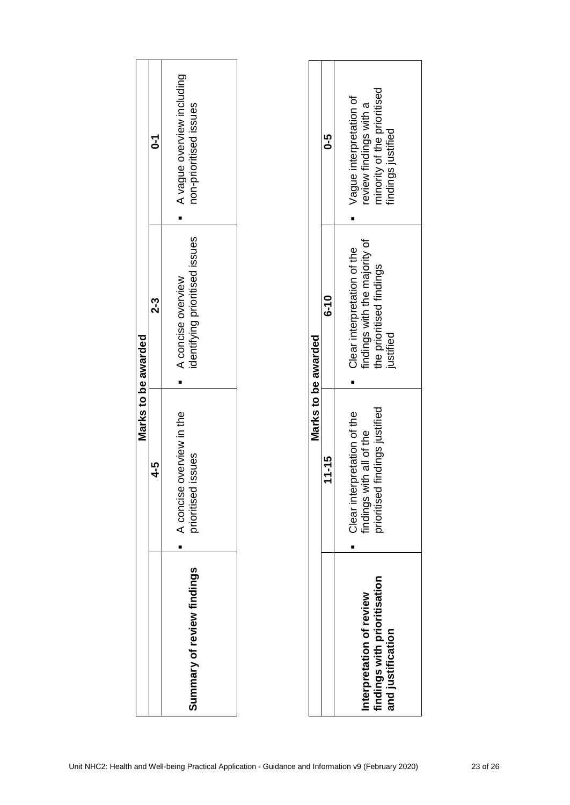|                                                                               | $4 - 5$                                                                                        | $2-3$<br>Marks to be awarded                                                                               | $\overline{c}$                                                                                         |
|-------------------------------------------------------------------------------|------------------------------------------------------------------------------------------------|------------------------------------------------------------------------------------------------------------|--------------------------------------------------------------------------------------------------------|
| Summary of review findings                                                    | overview in the<br>issues<br>A concise<br>prioritised<br>٠                                     | identifying prioritised issues<br>A concise overview<br>٠                                                  | A vague overview including<br>non-prioritised issues                                                   |
|                                                                               | Marks to be awarded                                                                            |                                                                                                            |                                                                                                        |
|                                                                               | $11 - 15$                                                                                      | $6 - 10$                                                                                                   | $5 - 0$                                                                                                |
| findings with prioritisation<br>Interpretation of review<br>and justification | findings with all of the<br>prioritised findings justified<br>Clear interpretation of the<br>٠ | findings with the majority of<br>Clear interpretation of the<br>the prioritised findings<br>justified<br>п | minority of the prioritised<br>findings justified<br>Vague interpretation of<br>review findings with a |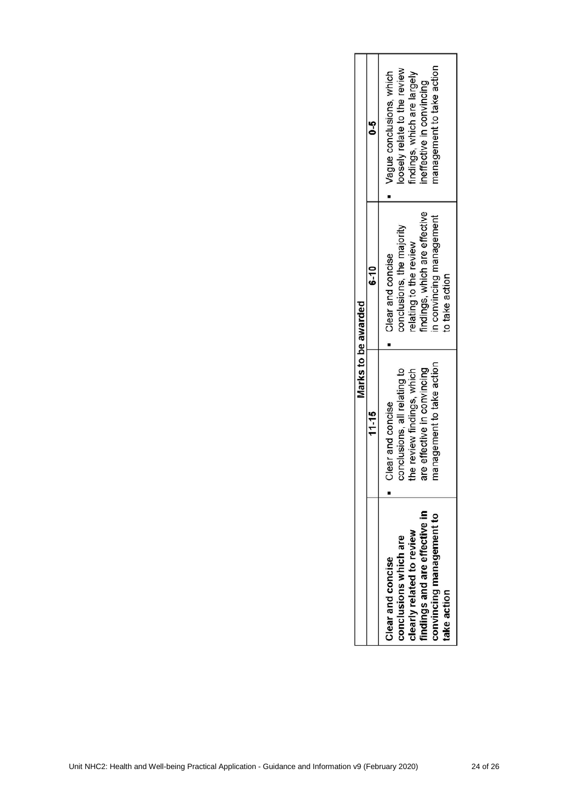|                               | Marks to be awarded          |                              |                             |  |
|-------------------------------|------------------------------|------------------------------|-----------------------------|--|
|                               | 11-15                        | $6-10$                       | م<br>ح                      |  |
| Clear and concise             | Clear and concise            | Clear and concise            | Vague conclusions, which    |  |
| conclusions which are         | conclusions, all relating to | conclusions, the majority    | oosely relate to the review |  |
| clearly related to review     | the review findings, which   | elating to the review        | lindings, which are largely |  |
| findings and are effective in | are effective in convincing  | indings, which are effective | neffective in convincing    |  |
| convincing management to      | management to take action    | n convincing management      | management to take action   |  |
| take action                   |                              | to take action               |                             |  |